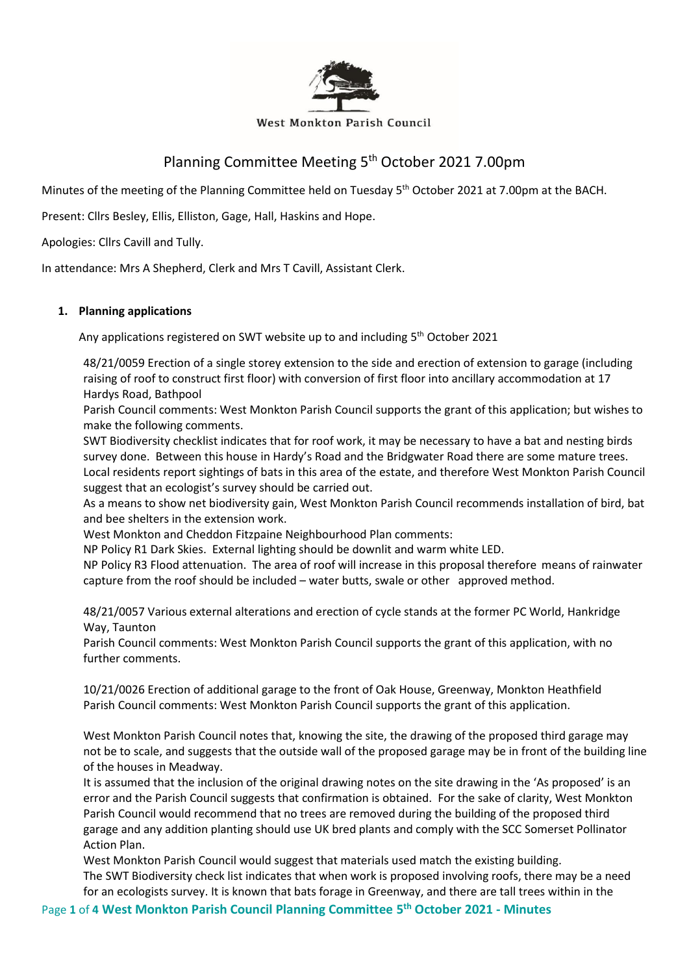

#### **West Monkton Parish Council**

# Planning Committee Meeting 5<sup>th</sup> October 2021 7.00pm

Minutes of the meeting of the Planning Committee held on Tuesday 5<sup>th</sup> October 2021 at 7.00pm at the BACH.

Present: Cllrs Besley, Ellis, Elliston, Gage, Hall, Haskins and Hope.

Apologies: Cllrs Cavill and Tully.

In attendance: Mrs A Shepherd, Clerk and Mrs T Cavill, Assistant Clerk.

## **1. Planning applications**

Any applications registered on SWT website up to and including 5<sup>th</sup> October 2021

48/21/0059 Erection of a single storey extension to the side and erection of extension to garage (including raising of roof to construct first floor) with conversion of first floor into ancillary accommodation at 17 Hardys Road, Bathpool

Parish Council comments: West Monkton Parish Council supports the grant of this application; but wishes to make the following comments.

SWT Biodiversity checklist indicates that for roof work, it may be necessary to have a bat and nesting birds survey done. Between this house in Hardy's Road and the Bridgwater Road there are some mature trees. Local residents report sightings of bats in this area of the estate, and therefore West Monkton Parish Council suggest that an ecologist's survey should be carried out.

As a means to show net biodiversity gain, West Monkton Parish Council recommends installation of bird, bat and bee shelters in the extension work.

West Monkton and Cheddon Fitzpaine Neighbourhood Plan comments:

NP Policy R1 Dark Skies. External lighting should be downlit and warm white LED.

NP Policy R3 Flood attenuation. The area of roof will increase in this proposal therefore means of rainwater capture from the roof should be included – water butts, swale or other approved method.

48/21/0057 Various external alterations and erection of cycle stands at the former PC World, Hankridge Way, Taunton

Parish Council comments: West Monkton Parish Council supports the grant of this application, with no further comments.

10/21/0026 Erection of additional garage to the front of Oak House, Greenway, Monkton Heathfield Parish Council comments: West Monkton Parish Council supports the grant of this application.

West Monkton Parish Council notes that, knowing the site, the drawing of the proposed third garage may not be to scale, and suggests that the outside wall of the proposed garage may be in front of the building line of the houses in Meadway.

It is assumed that the inclusion of the original drawing notes on the site drawing in the 'As proposed' is an error and the Parish Council suggests that confirmation is obtained. For the sake of clarity, West Monkton Parish Council would recommend that no trees are removed during the building of the proposed third garage and any addition planting should use UK bred plants and comply with the SCC Somerset Pollinator Action Plan.

West Monkton Parish Council would suggest that materials used match the existing building. The SWT Biodiversity check list indicates that when work is proposed involving roofs, there may be a need for an ecologists survey. It is known that bats forage in Greenway, and there are tall trees within in the

Page **1** of **4 West Monkton Parish Council Planning Committee 5 th October 2021 - Minutes**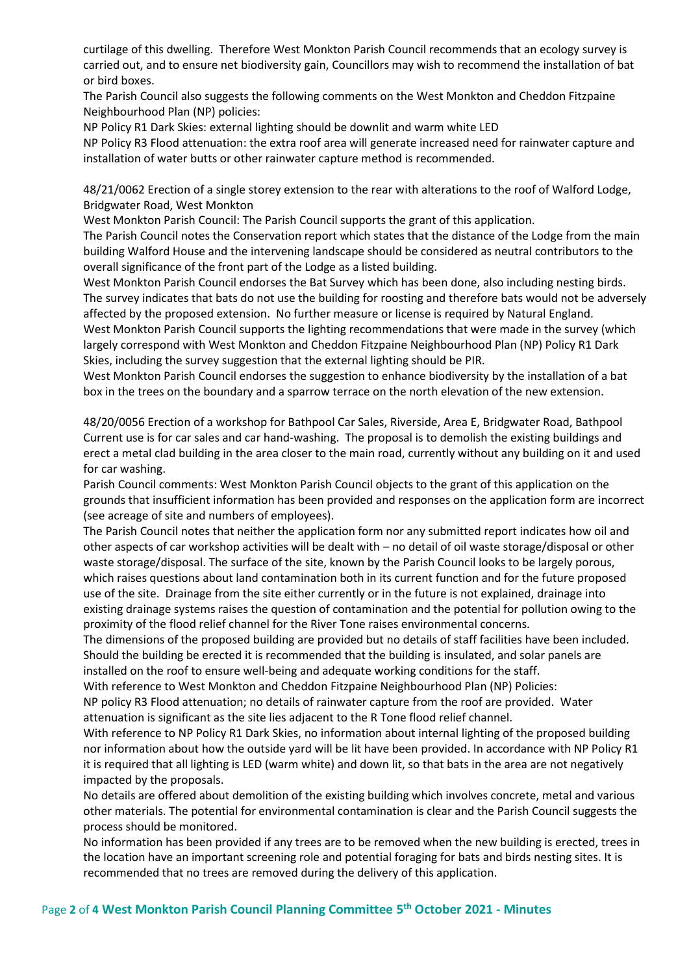curtilage of this dwelling. Therefore West Monkton Parish Council recommends that an ecology survey is carried out, and to ensure net biodiversity gain, Councillors may wish to recommend the installation of bat or bird boxes.

The Parish Council also suggests the following comments on the West Monkton and Cheddon Fitzpaine Neighbourhood Plan (NP) policies:

NP Policy R1 Dark Skies: external lighting should be downlit and warm white LED

NP Policy R3 Flood attenuation: the extra roof area will generate increased need for rainwater capture and installation of water butts or other rainwater capture method is recommended.

48/21/0062 Erection of a single storey extension to the rear with alterations to the roof of Walford Lodge, Bridgwater Road, West Monkton

West Monkton Parish Council: The Parish Council supports the grant of this application.

The Parish Council notes the Conservation report which states that the distance of the Lodge from the main building Walford House and the intervening landscape should be considered as neutral contributors to the overall significance of the front part of the Lodge as a listed building.

West Monkton Parish Council endorses the Bat Survey which has been done, also including nesting birds. The survey indicates that bats do not use the building for roosting and therefore bats would not be adversely affected by the proposed extension. No further measure or license is required by Natural England.

West Monkton Parish Council supports the lighting recommendations that were made in the survey (which largely correspond with West Monkton and Cheddon Fitzpaine Neighbourhood Plan (NP) Policy R1 Dark Skies, including the survey suggestion that the external lighting should be PIR.

West Monkton Parish Council endorses the suggestion to enhance biodiversity by the installation of a bat box in the trees on the boundary and a sparrow terrace on the north elevation of the new extension.

48/20/0056 Erection of a workshop for Bathpool Car Sales, Riverside, Area E, Bridgwater Road, Bathpool Current use is for car sales and car hand-washing. The proposal is to demolish the existing buildings and erect a metal clad building in the area closer to the main road, currently without any building on it and used for car washing.

Parish Council comments: West Monkton Parish Council objects to the grant of this application on the grounds that insufficient information has been provided and responses on the application form are incorrect (see acreage of site and numbers of employees).

The Parish Council notes that neither the application form nor any submitted report indicates how oil and other aspects of car workshop activities will be dealt with – no detail of oil waste storage/disposal or other waste storage/disposal. The surface of the site, known by the Parish Council looks to be largely porous, which raises questions about land contamination both in its current function and for the future proposed use of the site. Drainage from the site either currently or in the future is not explained, drainage into existing drainage systems raises the question of contamination and the potential for pollution owing to the proximity of the flood relief channel for the River Tone raises environmental concerns.

The dimensions of the proposed building are provided but no details of staff facilities have been included. Should the building be erected it is recommended that the building is insulated, and solar panels are installed on the roof to ensure well-being and adequate working conditions for the staff.

With reference to West Monkton and Cheddon Fitzpaine Neighbourhood Plan (NP) Policies:

NP policy R3 Flood attenuation; no details of rainwater capture from the roof are provided. Water attenuation is significant as the site lies adjacent to the R Tone flood relief channel.

With reference to NP Policy R1 Dark Skies, no information about internal lighting of the proposed building nor information about how the outside yard will be lit have been provided. In accordance with NP Policy R1 it is required that all lighting is LED (warm white) and down lit, so that bats in the area are not negatively impacted by the proposals.

No details are offered about demolition of the existing building which involves concrete, metal and various other materials. The potential for environmental contamination is clear and the Parish Council suggests the process should be monitored.

No information has been provided if any trees are to be removed when the new building is erected, trees in the location have an important screening role and potential foraging for bats and birds nesting sites. It is recommended that no trees are removed during the delivery of this application.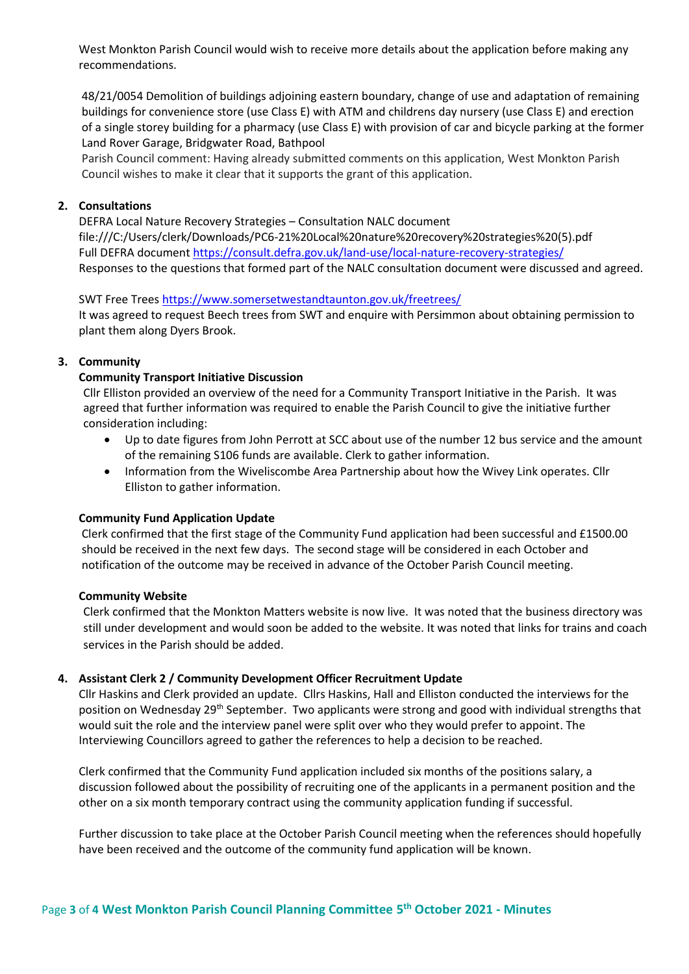West Monkton Parish Council would wish to receive more details about the application before making any recommendations.

48/21/0054 Demolition of buildings adjoining eastern boundary, change of use and adaptation of remaining buildings for convenience store (use Class E) with ATM and childrens day nursery (use Class E) and erection of a single storey building for a pharmacy (use Class E) with provision of car and bicycle parking at the former Land Rover Garage, Bridgwater Road, Bathpool

Parish Council comment: Having already submitted comments on this application, West Monkton Parish Council wishes to make it clear that it supports the grant of this application.

## **2. Consultations**

DEFRA Local Nature Recovery Strategies – Consultation NALC document file:///C:/Users/clerk/Downloads/PC6-21%20Local%20nature%20recovery%20strategies%20(5).pdf Full DEFRA document<https://consult.defra.gov.uk/land-use/local-nature-recovery-strategies/> Responses to the questions that formed part of the NALC consultation document were discussed and agreed.

### SWT Free Trees<https://www.somersetwestandtaunton.gov.uk/freetrees/>

It was agreed to request Beech trees from SWT and enquire with Persimmon about obtaining permission to plant them along Dyers Brook.

## **3. Community**

## **Community Transport Initiative Discussion**

Cllr Elliston provided an overview of the need for a Community Transport Initiative in the Parish. It was agreed that further information was required to enable the Parish Council to give the initiative further consideration including:

- Up to date figures from John Perrott at SCC about use of the number 12 bus service and the amount of the remaining S106 funds are available. Clerk to gather information.
- Information from the Wiveliscombe Area Partnership about how the Wivey Link operates. Cllr Elliston to gather information.

### **Community Fund Application Update**

Clerk confirmed that the first stage of the Community Fund application had been successful and £1500.00 should be received in the next few days. The second stage will be considered in each October and notification of the outcome may be received in advance of the October Parish Council meeting.

### **Community Website**

Clerk confirmed that the Monkton Matters website is now live. It was noted that the business directory was still under development and would soon be added to the website. It was noted that links for trains and coach services in the Parish should be added.

### **4. Assistant Clerk 2 / Community Development Officer Recruitment Update**

Cllr Haskins and Clerk provided an update. Cllrs Haskins, Hall and Elliston conducted the interviews for the position on Wednesday 29<sup>th</sup> September. Two applicants were strong and good with individual strengths that would suit the role and the interview panel were split over who they would prefer to appoint. The Interviewing Councillors agreed to gather the references to help a decision to be reached.

Clerk confirmed that the Community Fund application included six months of the positions salary, a discussion followed about the possibility of recruiting one of the applicants in a permanent position and the other on a six month temporary contract using the community application funding if successful.

Further discussion to take place at the October Parish Council meeting when the references should hopefully have been received and the outcome of the community fund application will be known.